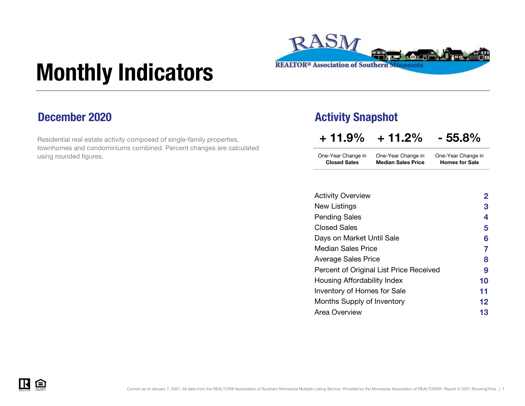

# Monthly Indicators

### December 2020

Residential real estate activity composed of single-family properties, townhomes and condominiums combined. Percent changes are calculated using rounded figures.

### Activity Snapshot

 $+11.9\% + 11.2\% - 55.8\%$ 

| One-Year Change in  | One-Year Change in        | One-Year Change in    |
|---------------------|---------------------------|-----------------------|
| <b>Closed Sales</b> | <b>Median Sales Price</b> | <b>Homes for Sale</b> |

| <b>Activity Overview</b>                | $\overline{2}$ |
|-----------------------------------------|----------------|
| New Listings                            | 3              |
| <b>Pending Sales</b>                    | 4              |
| <b>Closed Sales</b>                     | 5              |
| Days on Market Until Sale               | 6              |
| <b>Median Sales Price</b>               | 7              |
| Average Sales Price                     | 8              |
| Percent of Original List Price Received | 9              |
| Housing Affordability Index             | 10             |
| Inventory of Homes for Sale             | 11             |
| Months Supply of Inventory              | 12             |
| Area Overview                           | 13             |

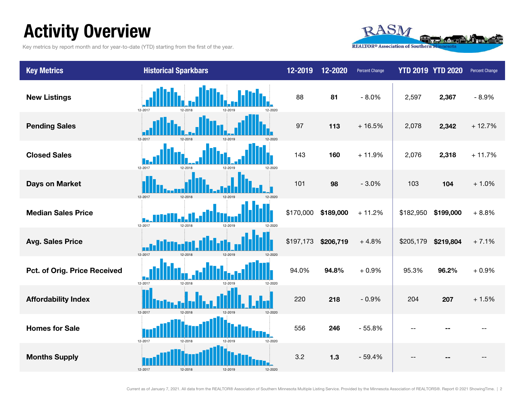## Activity Overview

Key metrics by report month and for year-to-date (YTD) starting from the first of the year.



| <b>Key Metrics</b>           | <b>Historical Sparkbars</b>              | 12-2019   | 12-2020   | <b>Percent Change</b> | <b>YTD 2019 YTD 2020</b> |           | Percent Change |
|------------------------------|------------------------------------------|-----------|-----------|-----------------------|--------------------------|-----------|----------------|
| <b>New Listings</b>          | 12-2017<br>12-2018                       | 88        | 81        | $-8.0%$               | 2,597                    | 2,367     | $-8.9%$        |
| <b>Pending Sales</b>         | 12-2017<br>12-2018                       | 97        | 113       | $+16.5%$              | 2,078                    | 2,342     | $+12.7%$       |
| <b>Closed Sales</b>          | 12-2017<br>12-2018<br>12-2019<br>12-2020 | 143       | 160       | $+11.9%$              | 2,076                    | 2,318     | $+11.7%$       |
| <b>Days on Market</b>        | 12-2017<br>12-2018<br>12-2010            | 101       | 98        | $-3.0%$               | 103                      | 104       | $+1.0%$        |
| <b>Median Sales Price</b>    | 12-2017<br>12-2018<br>12-2019<br>12-2020 | \$170,000 | \$189,000 | $+11.2%$              | \$182,950                | \$199,000 | $+8.8%$        |
| <b>Avg. Sales Price</b>      | 12-2017<br>12-2018                       | \$197,173 | \$206,719 | $+4.8%$               | \$205,179                | \$219,804 | $+7.1%$        |
| Pct. of Orig. Price Received | 12-2017<br>12-2018<br>12-2020            | 94.0%     | 94.8%     | $+0.9%$               | 95.3%                    | 96.2%     | $+0.9%$        |
| <b>Affordability Index</b>   |                                          | 220       | 218       | $-0.9%$               | 204                      | 207       | $+1.5%$        |
| <b>Homes for Sale</b>        | 12-2017<br>12-2020<br>12-2018            | 556       | 246       | $-55.8%$              |                          |           |                |
| <b>Months Supply</b>         | 12-2017                                  | 3.2       | 1.3       | $-59.4%$              |                          |           |                |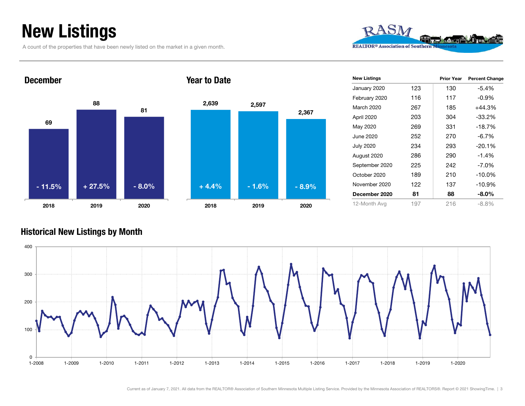## New Listings

December

A count of the properties that have been newly listed on the market in a given month.







2019 2020

2018

Year to Date

| <b>New Listings</b> |     | <b>Prior Year</b> | <b>Percent Change</b> |
|---------------------|-----|-------------------|-----------------------|
| January 2020        | 123 | 130               | $-5.4%$               |
| February 2020       | 116 | 117               | -0.9%                 |
| March 2020          | 267 | 185               | $+44.3%$              |
| April 2020          | 203 | 304               | $-33.2\%$             |
| May 2020            | 269 | 331               | $-18.7%$              |
| June 2020           | 252 | 270               | $-6.7\%$              |
| <b>July 2020</b>    | 234 | 293               | $-20.1%$              |
| August 2020         | 286 | 290               | $-1.4%$               |
| September 2020      | 225 | 242               | $-7.0\%$              |
| October 2020        | 189 | 210               | $-10.0\%$             |
| November 2020       | 122 | 137               | $-10.9%$              |
| December 2020       | 81  | 88                | -8.0%                 |
| 12-Month Avg        | 197 | 216               | -8.8%                 |

#### Historical New Listings by Month

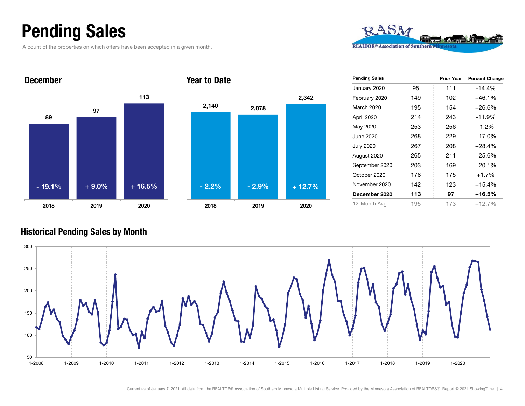### Pending Sales

A count of the properties on which offers have been accepted in a given month.







| <b>Pending Sales</b> |     | <b>Prior Year</b> | <b>Percent Change</b> |
|----------------------|-----|-------------------|-----------------------|
| January 2020         | 95  | 111               | $-14.4%$              |
| February 2020        | 149 | 102               | $+46.1%$              |
| March 2020           | 195 | 154               | $+26.6%$              |
| April 2020           | 214 | 243               | $-11.9%$              |
| May 2020             | 253 | 256               | $-1.2\%$              |
| June 2020            | 268 | 229               | $+17.0%$              |
| <b>July 2020</b>     | 267 | 208               | $+28.4%$              |
| August 2020          | 265 | 211               | $+25.6%$              |
| September 2020       | 203 | 169               | $+20.1%$              |
| October 2020         | 178 | 175               | $+1.7%$               |
| November 2020        | 142 | 123               | $+15.4%$              |
| December 2020        | 113 | 97                | $+16.5%$              |
| 12-Month Avg         | 195 | 173               | $+12.7%$              |

#### Historical Pending Sales by Month

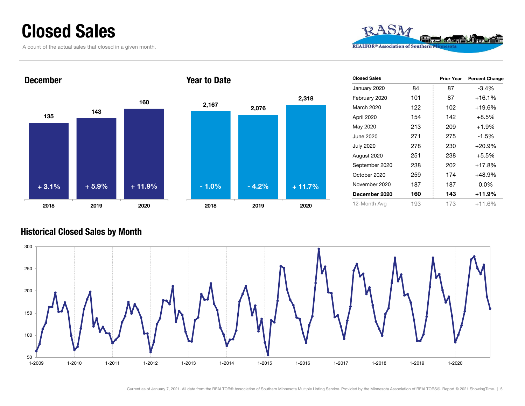### Closed Sales

A count of the actual sales that closed in a given month.





| <b>Closed Sales</b> |     | <b>Prior Year</b> | <b>Percent Change</b> |
|---------------------|-----|-------------------|-----------------------|
| January 2020        | 84  | 87                | -3.4%                 |
| February 2020       | 101 | 87                | $+16.1%$              |
| March 2020          | 122 | 102               | +19.6%                |
| April 2020          | 154 | 142               | $+8.5%$               |
| May 2020            | 213 | 209               | $+1.9%$               |
| June 2020           | 271 | 275               | -1.5%                 |
| <b>July 2020</b>    | 278 | 230               | $+20.9%$              |
| August 2020         | 251 | 238               | $+5.5%$               |
| September 2020      | 238 | 202               | $+17.8%$              |
| October 2020        | 259 | 174               | +48.9%                |
| November 2020       | 187 | 187               | $0.0\%$               |
| December 2020       | 160 | 143               | +11.9%                |
| 12-Month Avg        | 193 | 173               | +11.6%                |

#### Historical Closed Sales by Month

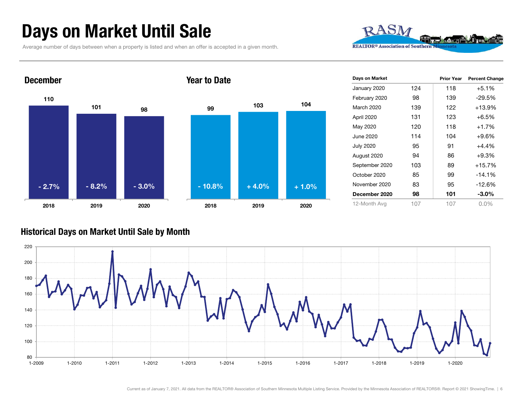## Days on Market Until Sale

Average number of days between when a property is listed and when an offer is accepted in a given month.





| Days on Market   |     | <b>Prior Year</b> | <b>Percent Change</b> |
|------------------|-----|-------------------|-----------------------|
| January 2020     | 124 | 118               | $+5.1%$               |
| February 2020    | 98  | 139               | -29.5%                |
| March 2020       | 139 | 122               | +13.9%                |
| April 2020       | 131 | 123               | $+6.5%$               |
| May 2020         | 120 | 118               | $+1.7%$               |
| June 2020        | 114 | 104               | $+9.6%$               |
| <b>July 2020</b> | 95  | 91                | $+4.4%$               |
| August 2020      | 94  | 86                | $+9.3%$               |
| September 2020   | 103 | 89                | $+15.7%$              |
| October 2020     | 85  | 99                | $-14.1%$              |
| November 2020    | 83  | 95                | $-12.6%$              |
| December 2020    | 98  | 101               | $-3.0\%$              |
| 12-Month Avg     | 107 | 107               | 0.0%                  |

#### Historical Days on Market Until Sale by Month

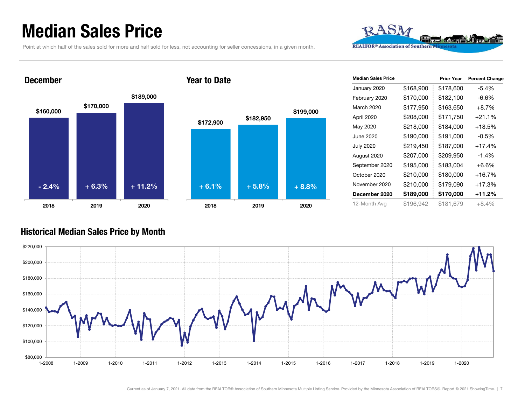### Median Sales Price

Point at which half of the sales sold for more and half sold for less, not accounting for seller concessions, in a given month.



#### December



#### Year to Date



| <b>Median Sales Price</b> |           | <b>Prior Year</b> | <b>Percent Change</b> |
|---------------------------|-----------|-------------------|-----------------------|
| January 2020              | \$168,900 | \$178,600         | $-5.4%$               |
| February 2020             | \$170,000 | \$182,100         | $-6.6%$               |
| March 2020                | \$177,950 | \$163,650         | $+8.7%$               |
| April 2020                | \$208,000 | \$171,750         | $+21.1%$              |
| May 2020                  | \$218,000 | \$184,000         | +18.5%                |
| June 2020                 | \$190,000 | \$191,000         | $-0.5\%$              |
| <b>July 2020</b>          | \$219,450 | \$187,000         | $+17.4%$              |
| August 2020               | \$207,000 | \$209,950         | $-1.4%$               |
| September 2020            | \$195,000 | \$183,004         | +6.6%                 |
| October 2020              | \$210,000 | \$180,000         | $+16.7%$              |
| November 2020             | \$210,000 | \$179,090         | +17.3%                |
| December 2020             | \$189,000 | \$170,000         | +11.2%                |
| 12-Month Avg              | \$196,942 | \$181.679         | $+8.4%$               |

#### Historical Median Sales Price by Month

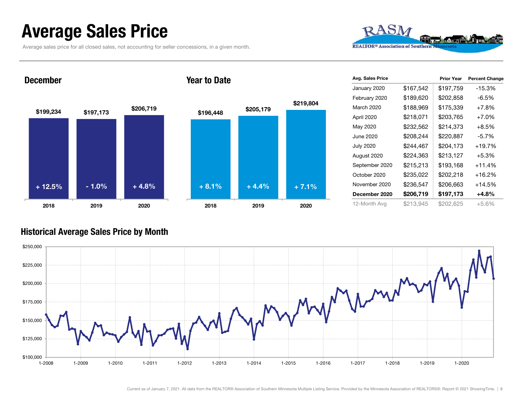### Average Sales Price

Average sales price for all closed sales, not accounting for seller concessions, in a given month.



December







| Avg. Sales Price |           | <b>Prior Year</b> | <b>Percent Change</b> |
|------------------|-----------|-------------------|-----------------------|
| January 2020     | \$167,542 | \$197,759         | -15.3%                |
| February 2020    | \$189,620 | \$202,858         | $-6.5\%$              |
| March 2020       | \$188,969 | \$175,339         | $+7.8%$               |
| April 2020       | \$218,071 | \$203,765         | $+7.0%$               |
| May 2020         | \$232,562 | \$214,373         | $+8.5%$               |
| June 2020        | \$208,244 | \$220,887         | $-5.7%$               |
| <b>July 2020</b> | \$244,467 | \$204,173         | $+19.7%$              |
| August 2020      | \$224,363 | \$213,127         | $+5.3%$               |
| September 2020   | \$215,213 | \$193,168         | +11.4%                |
| October 2020     | \$235,022 | \$202,218         | $+16.2%$              |
| November 2020    | \$236,547 | \$206,663         | +14.5%                |
| December 2020    | \$206,719 | \$197,173         | +4.8%                 |
| 12-Month Avg     | \$213,945 | \$202,625         | $+5.6%$               |

#### Historical Average Sales Price by Month

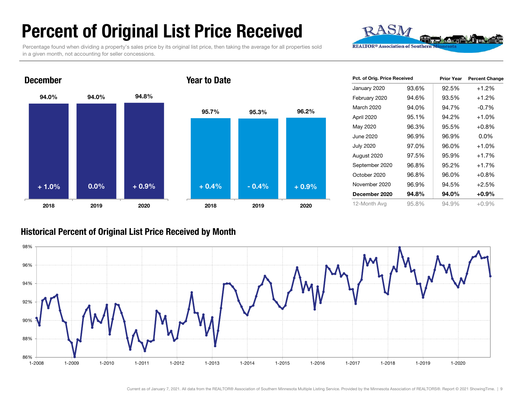## Percent of Original List Price Received

Percentage found when dividing a property's sales price by its original list price, then taking the average for all properties sold in a given month, not accounting for seller concessions.





| Pct. of Orig. Price Received |       | <b>Prior Year</b> | <b>Percent Change</b> |
|------------------------------|-------|-------------------|-----------------------|
| January 2020                 | 93.6% | 92.5%             | $+1.2%$               |
| February 2020                | 94.6% | 93.5%             | $+1.2%$               |
| March 2020                   | 94.0% | 94.7%             | $-0.7%$               |
| April 2020                   | 95.1% | 94.2%             | $+1.0%$               |
| May 2020                     | 96.3% | 95.5%             | $+0.8%$               |
| June 2020                    | 96.9% | 96.9%             | 0.0%                  |
| <b>July 2020</b>             | 97.0% | 96.0%             | $+1.0%$               |
| August 2020                  | 97.5% | 95.9%             | $+1.7%$               |
| September 2020               | 96.8% | 95.2%             | $+1.7%$               |
| October 2020                 | 96.8% | 96.0%             | $+0.8\%$              |
| November 2020                | 96.9% | 94.5%             | $+2.5%$               |
| December 2020                | 94.8% | 94.0%             | $+0.9\%$              |
| 12-Month Avg                 | 95.8% | 94.9%             | +0.9%                 |

#### Historical Percent of Original List Price Received by Month

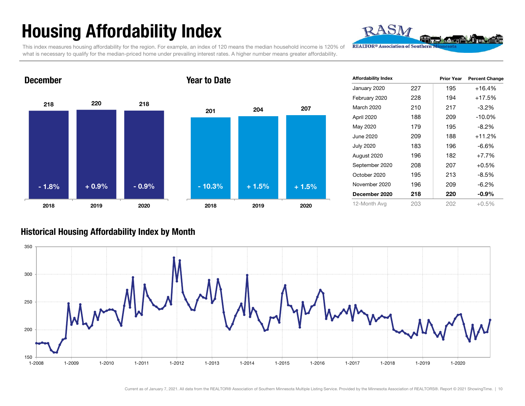## Housing Affordability Index

This index measures housing affordability for the region. For example, an index of 120 means the median household income is 120% of what is necessary to qualify for the median-priced home under prevailing interest rates. A higher number means greater affordability.

Year to Date

218 220 218 2018 2019 2020 201 <sup>204</sup> <sup>207</sup> 2018 2019 2020 - 1.8% $\%$  + 0.9% - 0.9% - 10.3% + 1.5% + 1.5%

| <b>Affordability Index</b> |     | <b>Prior Year</b> | <b>Percent Change</b> |
|----------------------------|-----|-------------------|-----------------------|
| January 2020               | 227 | 195               | $+16.4%$              |
| February 2020              | 228 | 194               | +17.5%                |
| March 2020                 | 210 | 217               | $-3.2%$               |
| April 2020                 | 188 | 209               | $-10.0%$              |
| May 2020                   | 179 | 195               | $-8.2\%$              |
| June 2020                  | 209 | 188               | +11.2%                |
| <b>July 2020</b>           | 183 | 196               | $-6.6%$               |
| August 2020                | 196 | 182               | $+7.7%$               |
| September 2020             | 208 | 207               | $+0.5%$               |
| October 2020               | 195 | 213               | -8.5%                 |
| November 2020              | 196 | 209               | $-6.2\%$              |
| December 2020              | 218 | 220               | $-0.9\%$              |
| 12-Month Avg               | 203 | 202               | +0.5%                 |

RASN

**REALTOR® Association of Southern** 

#### Historical Housing Affordability Index by Mont h



December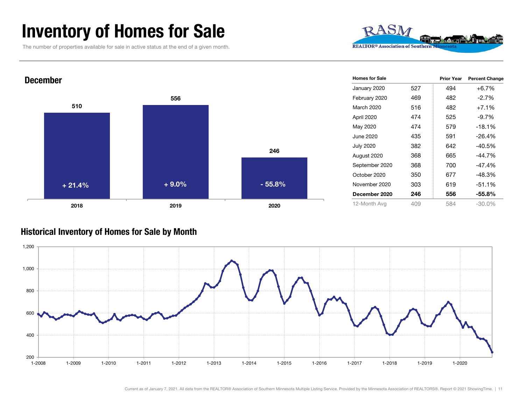### Inventory of Homes for Sale

The number of properties available for sale in active status at the end of a given month.





#### Historical Inventory of Homes for Sale by Month

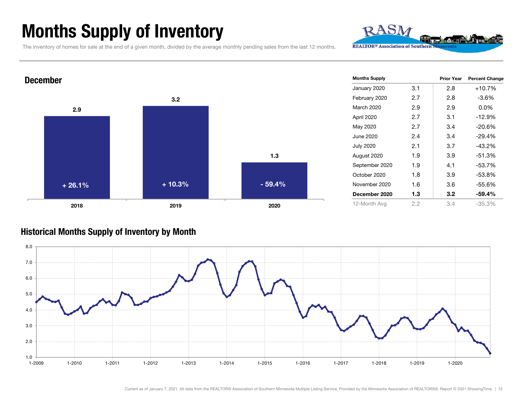### Months Supply of Inventory

The inventory of homes for sale at the end of a given month, divided by the average monthly pending sales from the last 12 months.



RASM

**REALTOR® Association of Southern** 

#### Historical Months Supply of Inventory by Month